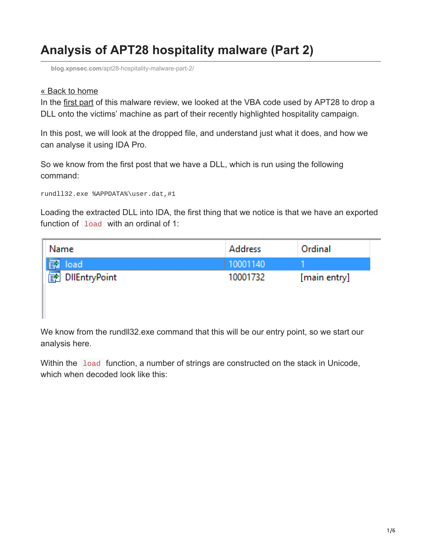## **Analysis of APT28 hospitality malware (Part 2)**

**blog.xpnsec.com**[/apt28-hospitality-malware-part-2/](https://blog.xpnsec.com/apt28-hospitality-malware-part-2/)

## [« Back to home](https://blog.xpnsec.com/)

In the [first part](https://blog.xpnsec.com/apt28-hospitality-malware/) of this malware review, we looked at the VBA code used by APT28 to drop a DLL onto the victims' machine as part of their recently highlighted hospitality campaign.

In this post, we will look at the dropped file, and understand just what it does, and how we can analyse it using IDA Pro.

So we know from the first post that we have a DLL, which is run using the following command:

```
rundll32.exe %APPDATA%\user.dat,#1
```
Loading the extracted DLL into IDA, the first thing that we notice is that we have an exported function of load with an ordinal of 1:

| Name            | <b>Address</b> | Ordinal      |
|-----------------|----------------|--------------|
| load            |                |              |
| 图 DilEntryPoint | 10001732       | [main entry] |

We know from the rund 32 exe command that this will be our entry point, so we start our analysis here.

Within the load function, a number of strings are constructed on the stack in Unicode, which when decoded look like this: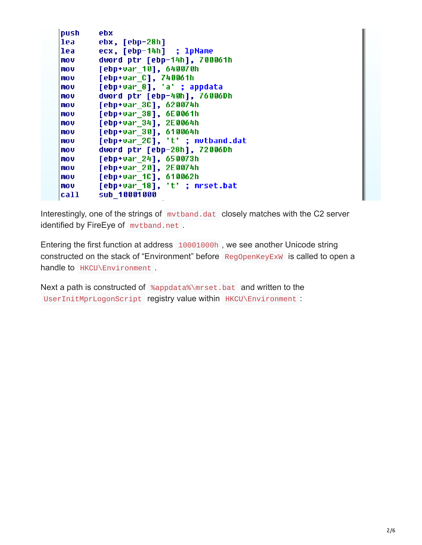| push | ebx                             |
|------|---------------------------------|
| lea  | ebx, [ebp-28h]                  |
| lea  | ecx, [ebp-14h] ; lpName         |
| mov  | dword ptr [ebp-14h], 700061h    |
| mov  | [ebp+var 10], 640070h           |
| mov  | [ebp+var C], 740061h            |
| mov  | [ebp+var 8], 'a' ; appdata      |
| mov  | dword ptr [ebp-40h], 76006Dh    |
| mov  | [ebp+var 3C], 620074h           |
| mov  | [ebp+var 38], 6E0061h           |
| mov  | [ebp+var 34], 2E0064h           |
| mov  | [ebp+var 30], 610064h           |
| mov  | [ebp+var 2C], 't' ; mutband.dat |
| mov  | dword ptr [ebp-28h], 72006Dh    |
| mov  | [ebp+var 24], 650073h           |
| mov  | [ebp+var 20], 2E0074h           |
| mov  | [ebp+var 1C], 610062h           |
| mov  | [ebp+var 18], 't' ; mrset.bat   |
| call | sub 10001000                    |

Interestingly, one of the strings of mythand.dat closely matches with the C2 server identified by FireEye of mvtband.net .

Entering the first function at address 10001000h , we see another Unicode string constructed on the stack of "Environment" before RegOpenKeyExW is called to open a handle to **HKCU\Environment**.

Next a path is constructed of %appdata%\mrset.bat and written to the UserInitMprLogonScript registry value within HKCU\Environment :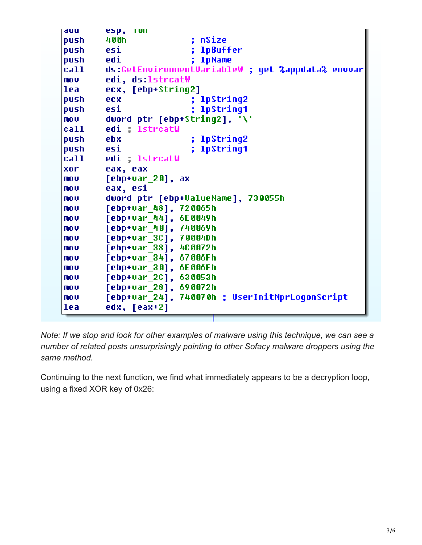```
auu
        esp, ron
push.
        400h
                          ; nSize
push.
        esi
                          : 1pBuffer
                          ; 1pName
push
        edi
        ds:GetEnvironmentVariableW ; get %appdata% envvar
call
mou-
        edi, ds:1strcatW
lea
        ecx, [ebp+String2]
                          ; lpString2
push.
        ecx.
                          ; lpString1
push.
        esi
        dword ptr [ebp+String2], '\'
mo v
call
        edi ; lstrcatW
push
                          : lpString2
        ebx.
push
        esi
                          : lpString1
call
        edi ; lstrcatW
xor.
        eax, eax
mou.
        [ebp+var 20], ax
mou.
        eax, esi
mou.
        dword ptr [ebp+ValueName], 730055h
mou.
        [ebp+var 48], 720065h
        [ebp+var 44], 6E0049h
mou.
        [ebp+var 40], 740069h
mov.
mov.
        [ebp+var 3C], 70004Dh
        [ebp+var 38], 4C0072h
mov.
mo v
        [ebp+var 34], 67006Fh
mou.
        [ebp+var 30], 6E006Fh
        [ebp+var 2C], 630053h
mov.
        [ebp+var 28], 690072h
mov.
        [ebp+var<sup>-24]</sup>, 740070h ; UserInitMprLoqonScript
mov.
        edx, [eax+2]
lea
```
*Note: If we stop and look for other examples of malware using this technique, we can see a number of [related posts](https://www.sophos.com/en-us/threat-center/threat-analyses/viruses-and-spyware/Troj~Sofacy-B/detailed-analysis.aspx) unsurprisingly pointing to other Sofacy malware droppers using the same method.*

Continuing to the next function, we find what immediately appears to be a decryption loop, using a fixed XOR key of 0x26: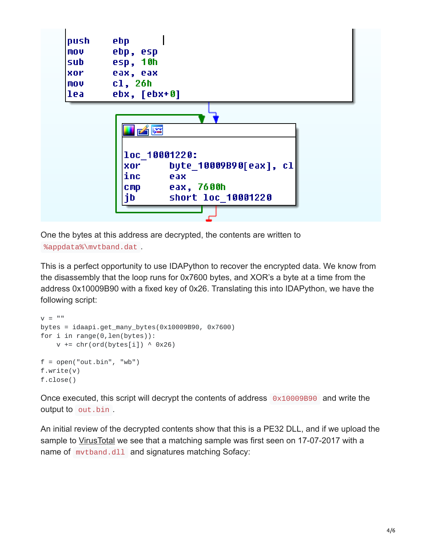

One the bytes at this address are decrypted, the contents are written to %appdata%\mvtband.dat .

This is a perfect opportunity to use IDAPython to recover the encrypted data. We know from the disassembly that the loop runs for 0x7600 bytes, and XOR's a byte at a time from the address 0x10009B90 with a fixed key of 0x26. Translating this into IDAPython, we have the following script:

```
V = "bytes = idaapi.get_many_bytes(0x10009B90, 0x7600)
for i in range(0, len(bytes)):
     v \leftarrow \text{chr}(\text{ord}(\text{bytes}[i]) \wedge \text{0x26})f = open("out.hin", "wb")f.write(v)
f.close()
```
Once executed, this script will decrypt the contents of address 0x10009B90 and write the output to out.bin

An initial review of the decrypted contents show that this is a PE32 DLL, and if we upload the sample to [VirusTotal](https://virustotal.com/#/file/8c47961181d9929333628af20bdd750021e925f40065374e6b876e3b8afbba57/detection) we see that a matching sample was first seen on 17-07-2017 with a name of mytband.dll and signatures matching Sofacy: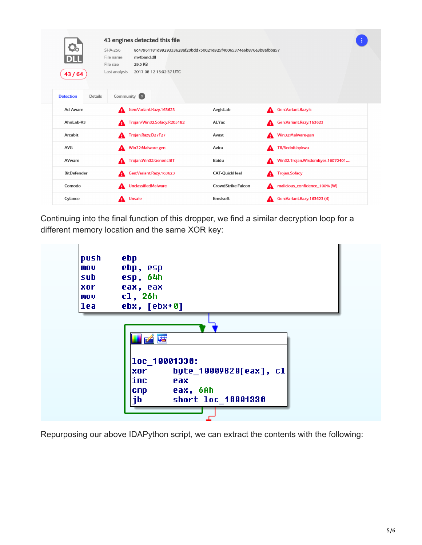| $\mathbf{C}_0$<br>43/64     | 43 engines detected this file<br>SHA-256<br>8c47961181d9929333628af20bdd750021e925f40065374e6b876e3b8afbba57<br>mvtband.dll<br>File name<br>29.5 KB<br>File size<br>Last analysis<br>2017-08-12 15:02:37 UTC |                           |                                       |
|-----------------------------|--------------------------------------------------------------------------------------------------------------------------------------------------------------------------------------------------------------|---------------------------|---------------------------------------|
| <b>Detection</b><br>Details | Community 2                                                                                                                                                                                                  |                           |                                       |
| Ad-Aware                    | Gen:Variant.Razy.163623<br>А                                                                                                                                                                                 | AegisLab                  | Gen.Variant.Razy!c                    |
| AhnLab-V3                   | Trojan/Win32.Sofacy.R205182<br>А                                                                                                                                                                             | ALYac                     | Gen:Variant.Razy.163623<br>А          |
| Arcabit                     | Trojan.Razy.D27F27<br>А                                                                                                                                                                                      | Avast                     | Win32:Malware-gen<br>А                |
| <b>AVG</b>                  | Win32:Malware-gen<br>А                                                                                                                                                                                       | Avira                     | TR/Sednit.bpkwu<br>А                  |
| AVware                      | Trojan.Win32.Generic!BT<br>А                                                                                                                                                                                 | Baidu                     | Win32.Trojan.WisdomEyes.16070401<br>А |
| <b>BitDefender</b>          | Gen:Variant.Razy.163623<br>А                                                                                                                                                                                 | <b>CAT-QuickHeal</b>      | <b>Trojan.Sofacy</b><br>A             |
| Comodo                      | <b>UnclassifiedMalware</b><br>А                                                                                                                                                                              | <b>CrowdStrike Falcon</b> | malicious_confidence_100% (W)<br>А    |
| Cylance                     | <b>Unsafe</b><br>А                                                                                                                                                                                           | Emsisoft                  | Gen:Variant.Razy.163623 (B)<br>А      |

Continuing into the final function of this dropper, we find a similar decryption loop for a different memory location and the same XOR key:



Repurposing our above IDAPython script, we can extract the contents with the following: